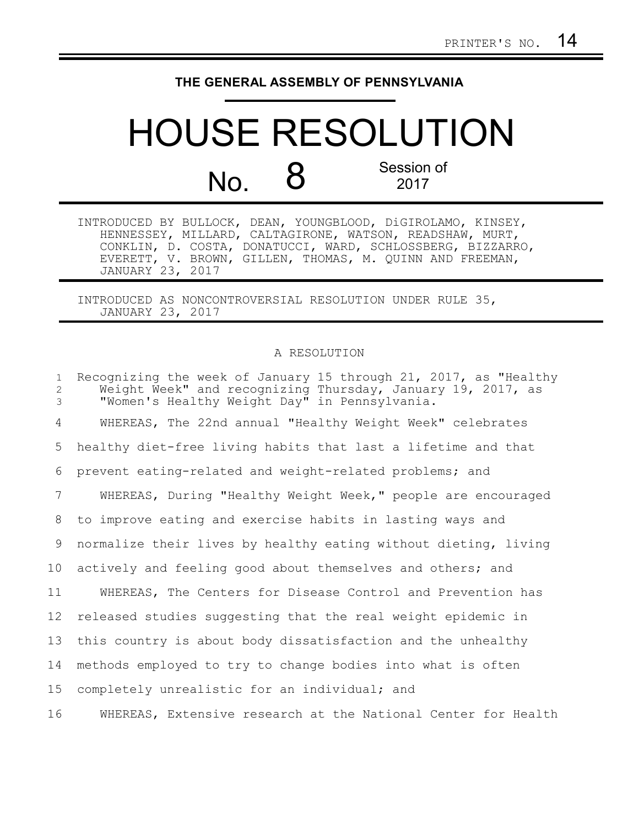## **THE GENERAL ASSEMBLY OF PENNSYLVANIA**

## HOUSE RESOLUTION No. 8 Session of 2017 2017

| INTRODUCED BY BULLOCK, DEAN, YOUNGBLOOD, DiGIROLAMO, KINSEY, |                                                          |  |  |                                                            |
|--------------------------------------------------------------|----------------------------------------------------------|--|--|------------------------------------------------------------|
|                                                              | HENNESSEY, MILLARD, CALTAGIRONE, WATSON, READSHAW, MURT, |  |  |                                                            |
|                                                              |                                                          |  |  | CONKLIN, D. COSTA, DONATUCCI, WARD, SCHLOSSBERG, BIZZARRO, |
|                                                              | EVERETT, V. BROWN, GILLEN, THOMAS, M. QUINN AND FREEMAN, |  |  |                                                            |
| JANUARY 23, 2017                                             |                                                          |  |  |                                                            |

INTRODUCED AS NONCONTROVERSIAL RESOLUTION UNDER RULE 35, JANUARY 23, 2017

## A RESOLUTION

| $\mathbf{1}$<br>$\mathbf{2}$<br>3 | Recognizing the week of January 15 through 21, 2017, as "Healthy<br>Weight Week" and recognizing Thursday, January 19, 2017, as<br>"Women's Healthy Weight Day" in Pennsylvania. |
|-----------------------------------|----------------------------------------------------------------------------------------------------------------------------------------------------------------------------------|
| 4                                 | WHEREAS, The 22nd annual "Healthy Weight Week" celebrates                                                                                                                        |
| 5                                 | healthy diet-free living habits that last a lifetime and that                                                                                                                    |
| 6                                 | prevent eating-related and weight-related problems; and                                                                                                                          |
| 7                                 | WHEREAS, During "Healthy Weight Week," people are encouraged                                                                                                                     |
| 8                                 | to improve eating and exercise habits in lasting ways and                                                                                                                        |
| 9                                 | normalize their lives by healthy eating without dieting, living                                                                                                                  |
| 10                                | actively and feeling good about themselves and others; and                                                                                                                       |
| 11                                | WHEREAS, The Centers for Disease Control and Prevention has                                                                                                                      |
| 12 <sup>°</sup>                   | released studies suggesting that the real weight epidemic in                                                                                                                     |
| 13                                | this country is about body dissatisfaction and the unhealthy                                                                                                                     |
| 14                                | methods employed to try to change bodies into what is often                                                                                                                      |
| 15                                | completely unrealistic for an individual; and                                                                                                                                    |
| 16                                | WHEREAS, Extensive research at the National Center for Health                                                                                                                    |